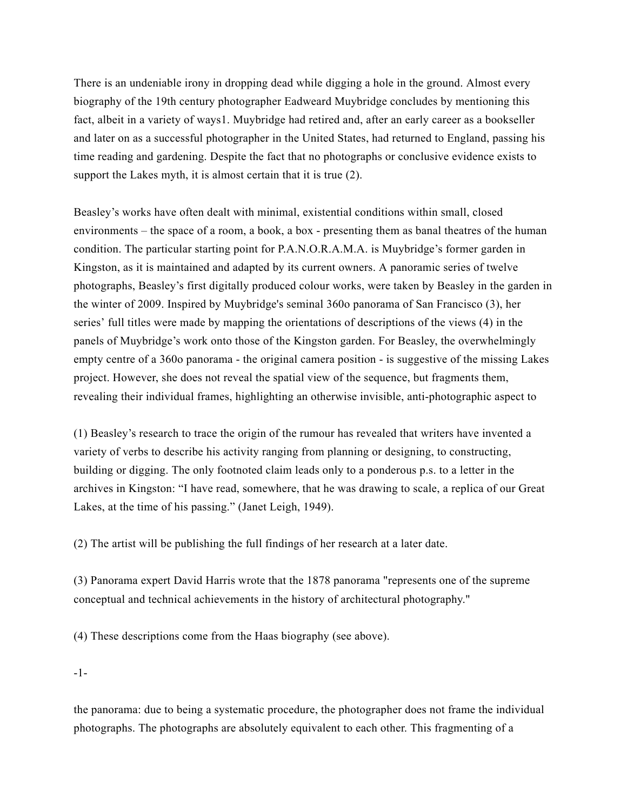There is an undeniable irony in dropping dead while digging a hole in the ground. Almost every biography of the 19th century photographer Eadweard Muybridge concludes by mentioning this fact, albeit in a variety of ways1. Muybridge had retired and, after an early career as a bookseller and later on as a successful photographer in the United States, had returned to England, passing his time reading and gardening. Despite the fact that no photographs or conclusive evidence exists to support the Lakes myth, it is almost certain that it is true (2).

Beasley's works have often dealt with minimal, existential conditions within small, closed environments – the space of a room, a book, a box - presenting them as banal theatres of the human condition. The particular starting point for P.A.N.O.R.A.M.A. is Muybridge's former garden in Kingston, as it is maintained and adapted by its current owners. A panoramic series of twelve photographs, Beasley's first digitally produced colour works, were taken by Beasley in the garden in the winter of 2009. Inspired by Muybridge's seminal 360o panorama of San Francisco (3), her series' full titles were made by mapping the orientations of descriptions of the views (4) in the panels of Muybridge's work onto those of the Kingston garden. For Beasley, the overwhelmingly empty centre of a 360o panorama - the original camera position - is suggestive of the missing Lakes project. However, she does not reveal the spatial view of the sequence, but fragments them, revealing their individual frames, highlighting an otherwise invisible, anti-photographic aspect to

(1) Beasley's research to trace the origin of the rumour has revealed that writers have invented a variety of verbs to describe his activity ranging from planning or designing, to constructing, building or digging. The only footnoted claim leads only to a ponderous p.s. to a letter in the archives in Kingston: "I have read, somewhere, that he was drawing to scale, a replica of our Great Lakes, at the time of his passing." (Janet Leigh, 1949).

(2) The artist will be publishing the full findings of her research at a later date.

(3) Panorama expert David Harris wrote that the 1878 panorama "represents one of the supreme conceptual and technical achievements in the history of architectural photography."

(4) These descriptions come from the Haas biography (see above).

-1-

the panorama: due to being a systematic procedure, the photographer does not frame the individual photographs. The photographs are absolutely equivalent to each other. This fragmenting of a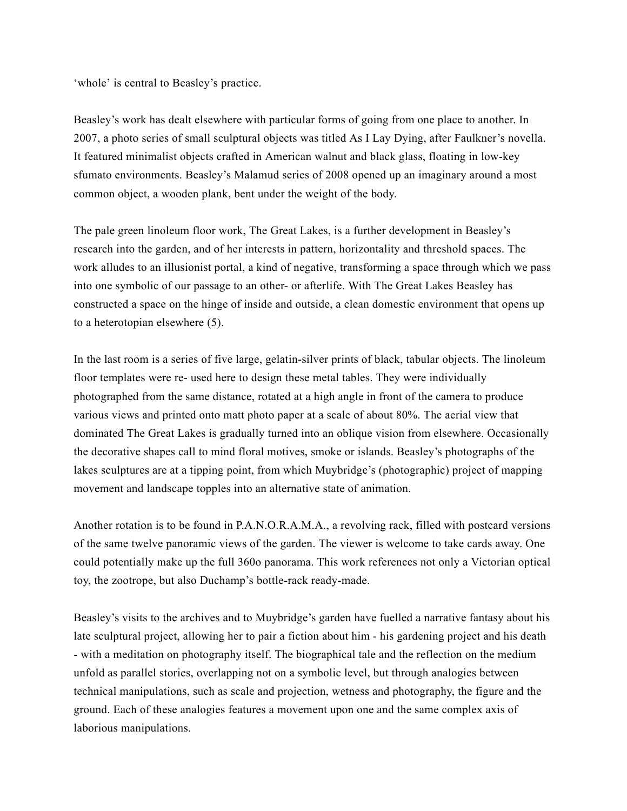'whole' is central to Beasley's practice.

Beasley's work has dealt elsewhere with particular forms of going from one place to another. In 2007, a photo series of small sculptural objects was titled As I Lay Dying, after Faulkner's novella. It featured minimalist objects crafted in American walnut and black glass, floating in low-key sfumato environments. Beasley's Malamud series of 2008 opened up an imaginary around a most common object, a wooden plank, bent under the weight of the body.

The pale green linoleum floor work, The Great Lakes, is a further development in Beasley's research into the garden, and of her interests in pattern, horizontality and threshold spaces. The work alludes to an illusionist portal, a kind of negative, transforming a space through which we pass into one symbolic of our passage to an other- or afterlife. With The Great Lakes Beasley has constructed a space on the hinge of inside and outside, a clean domestic environment that opens up to a heterotopian elsewhere (5).

In the last room is a series of five large, gelatin-silver prints of black, tabular objects. The linoleum floor templates were re- used here to design these metal tables. They were individually photographed from the same distance, rotated at a high angle in front of the camera to produce various views and printed onto matt photo paper at a scale of about 80%. The aerial view that dominated The Great Lakes is gradually turned into an oblique vision from elsewhere. Occasionally the decorative shapes call to mind floral motives, smoke or islands. Beasley's photographs of the lakes sculptures are at a tipping point, from which Muybridge's (photographic) project of mapping movement and landscape topples into an alternative state of animation.

Another rotation is to be found in P.A.N.O.R.A.M.A., a revolving rack, filled with postcard versions of the same twelve panoramic views of the garden. The viewer is welcome to take cards away. One could potentially make up the full 360o panorama. This work references not only a Victorian optical toy, the zootrope, but also Duchamp's bottle-rack ready-made.

Beasley's visits to the archives and to Muybridge's garden have fuelled a narrative fantasy about his late sculptural project, allowing her to pair a fiction about him - his gardening project and his death - with a meditation on photography itself. The biographical tale and the reflection on the medium unfold as parallel stories, overlapping not on a symbolic level, but through analogies between technical manipulations, such as scale and projection, wetness and photography, the figure and the ground. Each of these analogies features a movement upon one and the same complex axis of laborious manipulations.